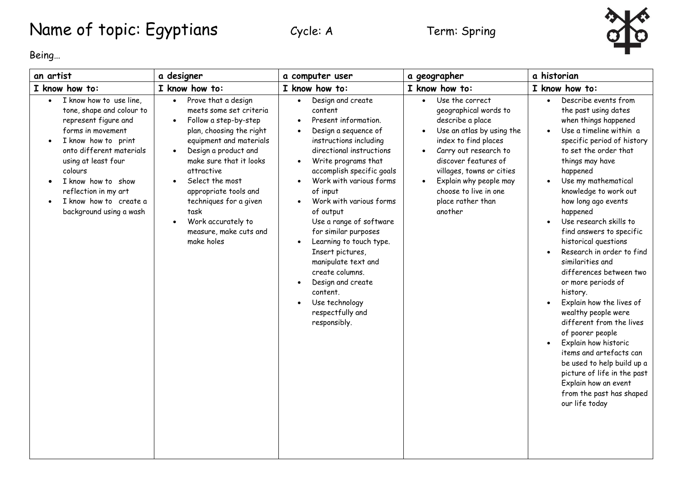## Name of topic: Egyptians Cycle: A Term: Spring



Being…

| an artist                                                                                                                                                                                                                                                                                 | a designer                                                                                                                                                                                                                                                                                                                                                                                      | a computer user                                                                                                                                                                                                                                                                                                                                                                                                                                                                                                                                 | a geographer                                                                                                                                                                                                                                                                                    | a historian                                                                                                                                                                                                                                                                                                                                                                                                                                                                                                                                                                                                                                                                                                                                                                             |
|-------------------------------------------------------------------------------------------------------------------------------------------------------------------------------------------------------------------------------------------------------------------------------------------|-------------------------------------------------------------------------------------------------------------------------------------------------------------------------------------------------------------------------------------------------------------------------------------------------------------------------------------------------------------------------------------------------|-------------------------------------------------------------------------------------------------------------------------------------------------------------------------------------------------------------------------------------------------------------------------------------------------------------------------------------------------------------------------------------------------------------------------------------------------------------------------------------------------------------------------------------------------|-------------------------------------------------------------------------------------------------------------------------------------------------------------------------------------------------------------------------------------------------------------------------------------------------|-----------------------------------------------------------------------------------------------------------------------------------------------------------------------------------------------------------------------------------------------------------------------------------------------------------------------------------------------------------------------------------------------------------------------------------------------------------------------------------------------------------------------------------------------------------------------------------------------------------------------------------------------------------------------------------------------------------------------------------------------------------------------------------------|
| I know how to:                                                                                                                                                                                                                                                                            | I know how to:                                                                                                                                                                                                                                                                                                                                                                                  | I know how to:                                                                                                                                                                                                                                                                                                                                                                                                                                                                                                                                  | I know how to:                                                                                                                                                                                                                                                                                  | I know how to:                                                                                                                                                                                                                                                                                                                                                                                                                                                                                                                                                                                                                                                                                                                                                                          |
| I know how to use line,<br>tone, shape and colour to<br>represent figure and<br>forms in movement<br>I know how to print<br>onto different materials<br>using at least four<br>colours<br>I know how to show<br>reflection in my art<br>I know how to create a<br>background using a wash | Prove that a design<br>$\bullet$<br>meets some set criteria<br>Follow a step-by-step<br>$\bullet$<br>plan, choosing the right<br>equipment and materials<br>Design a product and<br>$\bullet$<br>make sure that it looks<br>attractive<br>Select the most<br>appropriate tools and<br>techniques for a given<br>task<br>Work accurately to<br>$\bullet$<br>measure, make cuts and<br>make holes | Design and create<br>$\bullet$<br>content<br>Present information.<br>Design a sequence of<br>instructions including<br>directional instructions<br>Write programs that<br>$\bullet$<br>accomplish specific goals<br>Work with various forms<br>of input<br>Work with various forms<br>of output<br>Use a range of software<br>for similar purposes<br>Learning to touch type.<br>$\bullet$<br>Insert pictures,<br>manipulate text and<br>create columns.<br>Design and create<br>content.<br>Use technology<br>respectfully and<br>responsibly. | Use the correct<br>$\bullet$<br>geographical words to<br>describe a place<br>Use an atlas by using the<br>index to find places<br>Carry out research to<br>discover features of<br>villages, towns or cities<br>Explain why people may<br>choose to live in one<br>place rather than<br>another | Describe events from<br>$\bullet$<br>the past using dates<br>when things happened<br>Use a timeline within a<br>specific period of history<br>to set the order that<br>things may have<br>happened<br>Use my mathematical<br>knowledge to work out<br>how long ago events<br>happened<br>Use research skills to<br>$\bullet$<br>find answers to specific<br>historical questions<br>Research in order to find<br>similarities and<br>differences between two<br>or more periods of<br>history.<br>Explain how the lives of<br>wealthy people were<br>different from the lives<br>of poorer people<br>Explain how historic<br>items and artefacts can<br>be used to help build up a<br>picture of life in the past<br>Explain how an event<br>from the past has shaped<br>our life today |